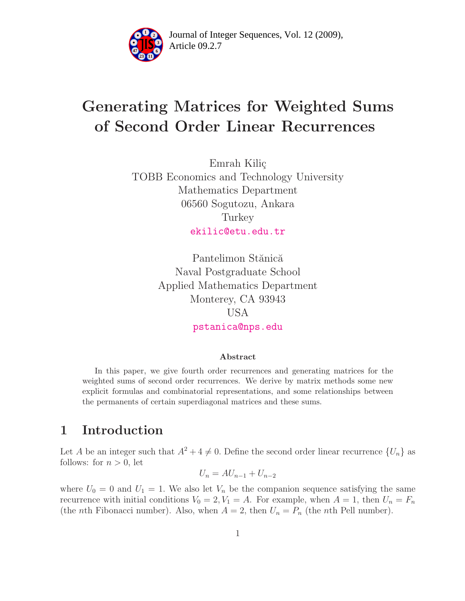

Article 09.2.7 **<sup>2</sup>** Journal of Integer Sequences, Vol. 12 (2009),

# Generating Matrices for Weighted Sums of Second Order Linear Recurrences

Emrah Kiliç TOBB Economics and Technology University Mathematics Department 06560 Sogutozu, Ankara Turkey [ekilic@etu.edu.tr](mailto:ekilic@etu.edu.tr)

> Pantelimon Stănică Naval Postgraduate School Applied Mathematics Department Monterey, CA 93943 USA [pstanica@nps.edu](mailto:pstanica@nps.edu)

#### Abstract

In this paper, we give fourth order recurrences and generating matrices for the weighted sums of second order recurrences. We derive by matrix methods some new explicit formulas and combinatorial representations, and some relationships between the permanents of certain superdiagonal matrices and these sums.

# 1 Introduction

Let A be an integer such that  $A^2 + 4 \neq 0$ . Define the second order linear recurrence  $\{U_n\}$  as follows: for  $n > 0$ , let

$$
U_n = AU_{n-1} + U_{n-2}
$$

where  $U_0 = 0$  and  $U_1 = 1$ . We also let  $V_n$  be the companion sequence satisfying the same recurrence with initial conditions  $V_0 = 2, V_1 = A$ . For example, when  $A = 1$ , then  $U_n = F_n$ (the *n*th Fibonacci number). Also, when  $A = 2$ , then  $U_n = P_n$  (the *n*th Pell number).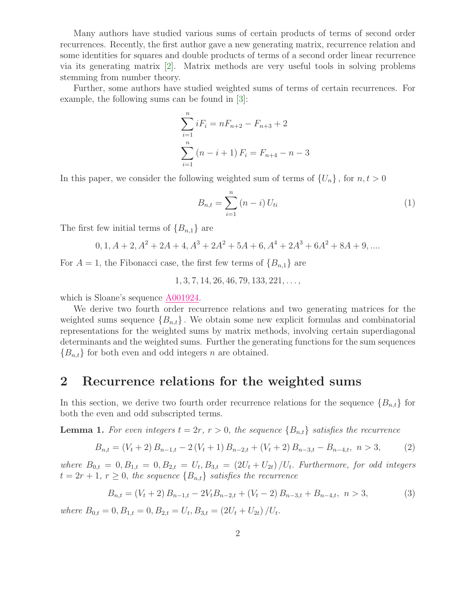Many authors have studied various sums of certain products of terms of second order recurrences. Recently, the first author gave a new generating matrix, recurrence relation and some identities for squares and double products of terms of a second order linear recurrence via its generating matrix [\[2\]](#page-9-0). Matrix methods are very useful tools in solving problems stemming from number theory.

Further, some authors have studied weighted sums of terms of certain recurrences. For example, the following sums can be found in [\[3\]](#page-9-1):

$$
\sum_{i=1}^{n} iF_i = nF_{n+2} - F_{n+3} + 2
$$

$$
\sum_{i=1}^{n} (n - i + 1) F_i = F_{n+4} - n - 3
$$

In this paper, we consider the following weighted sum of terms of  $\{U_n\}$ , for  $n, t > 0$ 

$$
B_{n,t} = \sum_{i=1}^{n} (n-i) U_{ti}
$$
 (1)

The first few initial terms of  ${B_{n,1}}$  are

$$
0, 1, A + 2, A2 + 2A + 4, A3 + 2A2 + 5A + 6, A4 + 2A3 + 6A2 + 8A + 9, ....
$$

For  $A = 1$ , the Fibonacci case, the first few terms of  ${B_{n,1}}$  are

<span id="page-1-0"></span> $1, 3, 7, 14, 26, 46, 79, 133, 221, \ldots$ 

which is Sloane's sequence [A001924.](http://www.research.att.com/cgi-bin/access.cgi/as/~njas/sequences/eisA.cgi?Anum=A001924)

We derive two fourth order recurrence relations and two generating matrices for the weighted sums sequence  ${B_{n,t}}$ . We obtain some new explicit formulas and combinatorial representations for the weighted sums by matrix methods, involving certain superdiagonal determinants and the weighted sums. Further the generating functions for the sum sequences  ${B_{n,t}}$  for both even and odd integers *n* are obtained.

#### 2 Recurrence relations for the weighted sums

<span id="page-1-1"></span>In this section, we derive two fourth order recurrence relations for the sequence  ${B_{n,t}}$  for both the even and odd subscripted terms.

**Lemma 1.** For even integers  $t = 2r$ ,  $r > 0$ , the sequence  ${B_{n,t}}$  satisfies the recurrence

$$
B_{n,t} = (V_t + 2) B_{n-1,t} - 2(V_t + 1) B_{n-2,t} + (V_t + 2) B_{n-3,t} - B_{n-4,t}, \ n > 3,
$$
 (2)

where  $B_{0,t} = 0, B_{1,t} = 0, B_{2,t} = U_t, B_{3,t} = (2U_t + U_{2t})/U_t$ . Furthermore, for odd integers  $t = 2r + 1, r \geq 0$ , the sequence  ${B_{n,t}}$  satisfies the recurrence

$$
B_{n,t} = (V_t + 2) B_{n-1,t} - 2V_t B_{n-2,t} + (V_t - 2) B_{n-3,t} + B_{n-4,t}, \ n > 3,
$$
\n(3)

where  $B_{0,t} = 0, B_{1,t} = 0, B_{2,t} = U_t, B_{3,t} = (2U_t + U_{2t})/U_t.$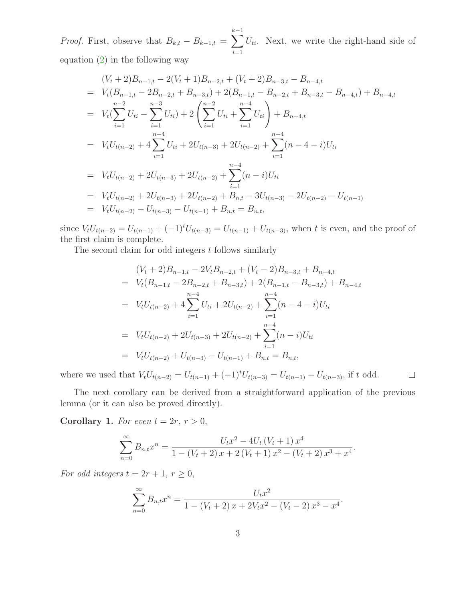*Proof.* First, observe that  $B_{k,t} - B_{k-1,t} = \sum$  $k-1$  $i=1$  $U_{ti}$ . Next, we write the right-hand side of

equation  $(2)$  in the following way

$$
(V_t + 2)B_{n-1,t} - 2(V_t + 1)B_{n-2,t} + (V_t + 2)B_{n-3,t} - B_{n-4,t}
$$
  
=  $V_t(B_{n-1,t} - 2B_{n-2,t} + B_{n-3,t}) + 2(B_{n-1,t} - B_{n-2,t} + B_{n-3,t} - B_{n-4,t}) + B_{n-4,t}$   
=  $V_t(\sum_{i=1}^{n-2} U_{ti} - \sum_{i=1}^{n-3} U_{ti}) + 2(\sum_{i=1}^{n-4} U_{ti} + \sum_{i=1}^{n-4} U_{ti}) + B_{n-4,t}$   
=  $V_tU_{t(n-2)} + 4\sum_{i=1}^{n-4} U_{ti} + 2U_{t(n-3)} + 2U_{t(n-2)} + \sum_{i=1}^{n-4} (n-4-i)U_{ti}$   
=  $V_tU_{t(n-2)} + 2U_{t(n-3)} + 2U_{t(n-2)} + \sum_{i=1}^{n-4} (n-i)U_{ti}$   
=  $V_tU_{t(n-2)} + 2U_{t(n-3)} + 2U_{t(n-2)} + B_{n,t} - 3U_{t(n-3)} - 2U_{t(n-2)} - U_{t(n-1)}$   
=  $V_tU_{t(n-2)} - U_{t(n-3)} - U_{t(n-1)} + B_{n,t} = B_{n,t},$ 

since  $V_tU_{t(n-2)} = U_{t(n-1)} + (-1)^t U_{t(n-3)} = U_{t(n-1)} + U_{t(n-3)}$ , when t is even, and the proof of the first claim is complete.

The second claim for odd integers  $t$  follows similarly

$$
(V_t + 2)B_{n-1,t} - 2V_tB_{n-2,t} + (V_t - 2)B_{n-3,t} + B_{n-4,t}
$$
  
=  $V_t(B_{n-1,t} - 2B_{n-2,t} + B_{n-3,t}) + 2(B_{n-1,t} - B_{n-3,t}) + B_{n-4,t}$   
=  $V_tU_{t(n-2)} + 4\sum_{i=1}^{n-4} U_{ti} + 2U_{t(n-2)} + \sum_{i=1}^{n-4} (n-4-i)U_{ti}$   
=  $V_tU_{t(n-2)} + 2U_{t(n-3)} + 2U_{t(n-2)} + \sum_{i=1}^{n-4} (n-i)U_{ti}$   
=  $V_tU_{t(n-2)} + U_{t(n-3)} - U_{t(n-1)} + B_{n,t} = B_{n,t},$ 

.

where we used that  $V_tU_{t(n-2)} = U_{t(n-1)} + (-1)^t U_{t(n-3)} = U_{t(n-1)} - U_{t(n-3)}$ , if t odd.  $\Box$ 

The next corollary can be derived from a straightforward application of the previous lemma (or it can also be proved directly).

Corollary 1. For even  $t = 2r, r > 0$ ,

$$
\sum_{n=0}^{\infty} B_{n,t} x^n = \frac{U_t x^2 - 4U_t (V_t + 1) x^4}{1 - (V_t + 2) x + 2 (V_t + 1) x^2 - (V_t + 2) x^3 + x^4}
$$

For odd integers  $t = 2r + 1, r \ge 0$ ,

$$
\sum_{n=0}^{\infty} B_{n,t} x^n = \frac{U_t x^2}{1 - (V_t + 2) x + 2V_t x^2 - (V_t - 2) x^3 - x^4}.
$$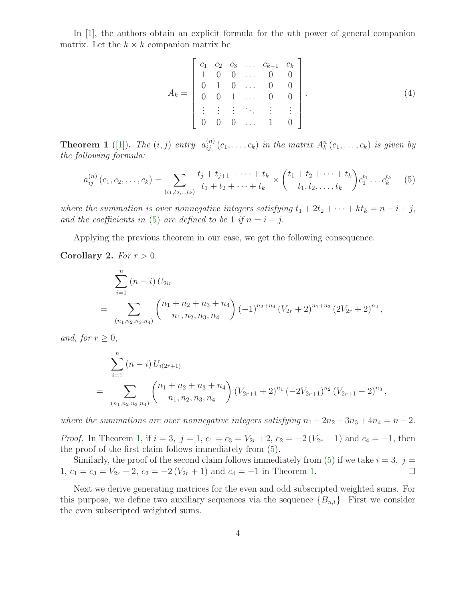In [\[1\]](#page-9-2), the authors obtain an explicit formula for the *n*th power of general companion matrix. Let the  $k \times k$  companion matrix be

$$
A_k = \begin{bmatrix} c_1 & c_2 & c_3 & \dots & c_{k-1} & c_k \\ 1 & 0 & 0 & \dots & 0 & 0 \\ 0 & 1 & 0 & \dots & 0 & 0 \\ 0 & 0 & 1 & \dots & 0 & 0 \\ \vdots & \vdots & \vdots & \ddots & \vdots & \vdots \\ 0 & 0 & 0 & \dots & 1 & 0 \end{bmatrix} .
$$
 (4)

<span id="page-3-1"></span>**Theorem 1** ([\[1\]](#page-9-2)). The  $(i, j)$  entry  $a_{ij}^{(n)}(c_1, \ldots, c_k)$  in the matrix  $A_k^n(c_1, \ldots, c_k)$  is given by the following formula:

<span id="page-3-0"></span>
$$
a_{ij}^{(n)}(c_1, c_2, \dots, c_k) = \sum_{(t_1, t_2, \dots, t_k)} \frac{t_j + t_{j+1} + \dots + t_k}{t_1 + t_2 + \dots + t_k} \times \binom{t_1 + t_2 + \dots + t_k}{t_1, t_2, \dots, t_k} c_1^{t_1} \dots c_k^{t_k} \tag{5}
$$

where the summation is over nonnegative integers satisfying  $t_1 + 2t_2 + \cdots + kt_k = n - i + j$ , and the coefficients in [\(5\)](#page-3-0) are defined to be 1 if  $n = i - j$ .

Applying the previous theorem in our case, we get the following consequence.

Corollary 2. For  $r > 0$ ,

$$
\sum_{i=1}^{n} (n-i) U_{2ir}
$$
\n
$$
= \sum_{(n_1, n_2, n_3, n_4)} {n_1 + n_2 + n_3 + n_4 \choose n_1, n_2, n_3, n_4} (-1)^{n_2+n_4} (V_{2r} + 2)^{n_1+n_3} (2V_{2r} + 2)^{n_2},
$$

and, for  $r \geq 0$ ,

$$
\sum_{i=1}^{n} (n-i) U_{i(2r+1)} = \sum_{(n_1, n_2, n_3, n_4)}^{n} {n_1 + n_2 + n_3 + n_4 \choose n_1, n_2, n_3, n_4} (V_{2r+1} + 2)^{n_1} (-2V_{2r+1})^{n_2} (V_{2r+1} - 2)^{n_3},
$$

where the summations are over nonnegative integers satisfying  $n_1 + 2n_2 + 3n_3 + 4n_4 = n - 2$ .

*Proof.* In Theorem [1,](#page-3-1) if  $i = 3$ ,  $j = 1$ ,  $c_1 = c_3 = V_{2r} + 2$ ,  $c_2 = -2(V_{2r} + 1)$  and  $c_4 = -1$ , then the proof of the first claim follows immediately from [\(5\)](#page-3-0).

Similarly, the proof of the second claim follows immediately from [\(5\)](#page-3-0) if we take  $i = 3$ ,  $j =$ 1,  $c_1 = c_3 = V_{2r} + 2$ ,  $c_2 = -2(V_{2r} + 1)$  and  $c_4 = -1$  in Theorem [1.](#page-3-1)  $\Box$ 

Next we derive generating matrices for the even and odd subscripted weighted sums. For this purpose, we define two auxiliary sequences via the sequence  ${B_{n,t}}$ . First we consider the even subscripted weighted sums.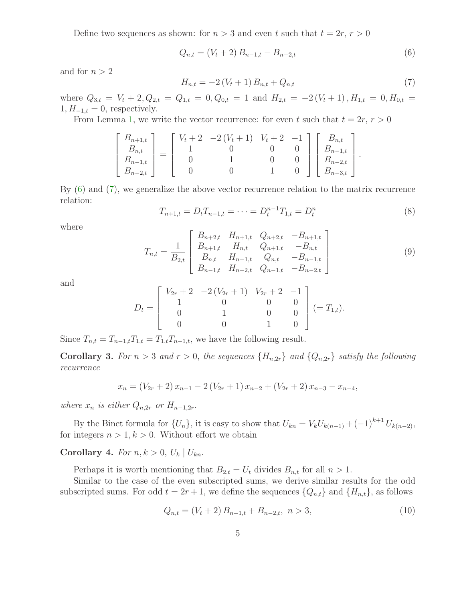Define two sequences as shown: for  $n > 3$  and even t such that  $t = 2r, r > 0$ 

<span id="page-4-0"></span>
$$
Q_{n,t} = (V_t + 2) B_{n-1,t} - B_{n-2,t}
$$
\n<sup>(6)</sup>

<span id="page-4-1"></span>and for  $n > 2$ 

$$
H_{n,t} = -2\left(V_t + 1\right)B_{n,t} + Q_{n,t} \tag{7}
$$

where  $Q_{3,t} = V_t + 2$ ,  $Q_{2,t} = Q_{1,t} = 0$ ,  $Q_{0,t} = 1$  and  $H_{2,t} = -2(V_t + 1)$ ,  $H_{1,t} = 0$ ,  $H_{0,t} =$  $1, H_{-1,t} = 0$ , respectively.

From Lemma [1,](#page-1-1) we write the vector recurrence: for even t such that  $t = 2r, r > 0$ 

$$
\begin{bmatrix} B_{n+1,t} \\ B_{n,t} \\ B_{n-1,t} \\ B_{n-2,t} \end{bmatrix} = \begin{bmatrix} V_t + 2 & -2(V_t + 1) & V_t + 2 & -1 \\ 1 & 0 & 0 & 0 \\ 0 & 1 & 0 & 0 \\ 0 & 0 & 1 & 0 \end{bmatrix} \begin{bmatrix} B_{n,t} \\ B_{n-1,t} \\ B_{n-2,t} \\ B_{n-3,t} \end{bmatrix}.
$$

<span id="page-4-4"></span>By [\(6\)](#page-4-0) and [\(7\)](#page-4-1), we generalize the above vector recurrence relation to the matrix recurrence relation:

$$
T_{n+1,t} = D_t T_{n-1,t} = \dots = D_t^{n-1} T_{1,t} = D_t^n \tag{8}
$$

<span id="page-4-3"></span>where

$$
T_{n,t} = \frac{1}{B_{2,t}} \begin{bmatrix} B_{n+2,t} & H_{n+1,t} & Q_{n+2,t} & -B_{n+1,t} \\ B_{n+1,t} & H_{n,t} & Q_{n+1,t} & -B_{n,t} \\ B_{n,t} & H_{n-1,t} & Q_{n,t} & -B_{n-1,t} \\ B_{n-1,t} & H_{n-2,t} & Q_{n-1,t} & -B_{n-2,t} \end{bmatrix}
$$
(9)

and

$$
D_t = \begin{bmatrix} V_{2r} + 2 & -2(V_{2r} + 1) & V_{2r} + 2 & -1 \\ 1 & 0 & 0 & 0 \\ 0 & 1 & 0 & 0 \\ 0 & 0 & 1 & 0 \end{bmatrix} (=T_{1,t}).
$$

Since  $T_{n,t} = T_{n-1,t}T_{1,t} = T_{1,t}T_{n-1,t}$ , we have the following result.

**Corollary 3.** For  $n > 3$  and  $r > 0$ , the sequences  ${H_{n,2r}}$  and  ${Q_{n,2r}}$  satisfy the following recurrence

$$
x_n = (V_{2r} + 2) x_{n-1} - 2 (V_{2r} + 1) x_{n-2} + (V_{2r} + 2) x_{n-3} - x_{n-4},
$$

where  $x_n$  is either  $Q_{n,2r}$  or  $H_{n-1,2r}$ .

By the Binet formula for  $\{U_n\}$ , it is easy to show that  $U_{kn} = V_k U_{k(n-1)} + (-1)^{k+1} U_{k(n-2)}$ , for integers  $n > 1, k > 0$ . Without effort we obtain

Corollary 4. For  $n, k > 0, U_k | U_{kn}$ .

Perhaps it is worth mentioning that  $B_{2,t} = U_t$  divides  $B_{n,t}$  for all  $n > 1$ .

Similar to the case of the even subscripted sums, we derive similar results for the odd subscripted sums. For odd  $t = 2r + 1$ , we define the sequences  $\{Q_{n,t}\}\$  and  $\{H_{n,t}\}\$ , as follows

<span id="page-4-2"></span>
$$
Q_{n,t} = (V_t + 2) B_{n-1,t} + B_{n-2,t}, \ n > 3,
$$
\n(10)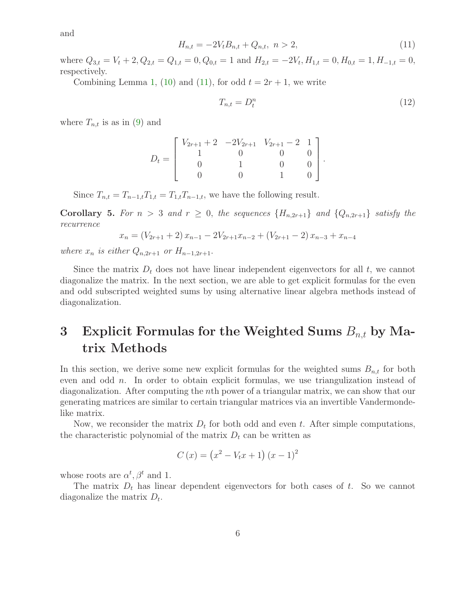<span id="page-5-0"></span>and

$$
H_{n,t} = -2V_t B_{n,t} + Q_{n,t}, \ n > 2,
$$
\n(11)

where  $Q_{3,t} = V_t + 2$ ,  $Q_{2,t} = Q_{1,t} = 0$ ,  $Q_{0,t} = 1$  and  $H_{2,t} = -2V_t$ ,  $H_{1,t} = 0$ ,  $H_{0,t} = 1$ ,  $H_{-1,t} = 0$ , respectively.

Combining Lemma [1,](#page-1-1) [\(10\)](#page-4-2) and [\(11\)](#page-5-0), for odd  $t = 2r + 1$ , we write

<span id="page-5-1"></span>
$$
T_{n,t} = D_t^n \tag{12}
$$

where  $T_{n,t}$  is as in [\(9\)](#page-4-3) and

$$
D_t = \begin{bmatrix} V_{2r+1} + 2 & -2V_{2r+1} & V_{2r+1} - 2 & 1 \\ 1 & 0 & 0 & 0 \\ 0 & 1 & 0 & 0 \\ 0 & 0 & 1 & 0 \end{bmatrix}.
$$

Since  $T_{n,t} = T_{n-1,t}T_{1,t} = T_{1,t}T_{n-1,t}$ , we have the following result.

**Corollary 5.** For  $n > 3$  and  $r \geq 0$ , the sequences  $\{H_{n,2r+1}\}\$  and  $\{Q_{n,2r+1}\}\$  satisfy the recurrence

$$
x_n = (V_{2r+1} + 2) x_{n-1} - 2V_{2r+1}x_{n-2} + (V_{2r+1} - 2) x_{n-3} + x_{n-4}
$$

where  $x_n$  is either  $Q_{n,2r+1}$  or  $H_{n-1,2r+1}$ .

Since the matrix  $D_t$  does not have linear independent eigenvectors for all t, we cannot diagonalize the matrix. In the next section, we are able to get explicit formulas for the even and odd subscripted weighted sums by using alternative linear algebra methods instead of diagonalization.

# 3 Explicit Formulas for the Weighted Sums  $B_{n,t}$  by Matrix Methods

In this section, we derive some new explicit formulas for the weighted sums  $B_{n,t}$  for both even and odd  $n$ . In order to obtain explicit formulas, we use triangulization instead of diagonalization. After computing the nth power of a triangular matrix, we can show that our generating matrices are similar to certain triangular matrices via an invertible Vandermondelike matrix.

Now, we reconsider the matrix  $D_t$  for both odd and even t. After simple computations, the characteristic polynomial of the matrix  $D_t$  can be written as

$$
C(x) = (x^2 - V_t x + 1) (x - 1)^2
$$

whose roots are  $\alpha^t, \beta^t$  and 1.

The matrix  $D_t$  has linear dependent eigenvectors for both cases of t. So we cannot diagonalize the matrix  $D_t$ .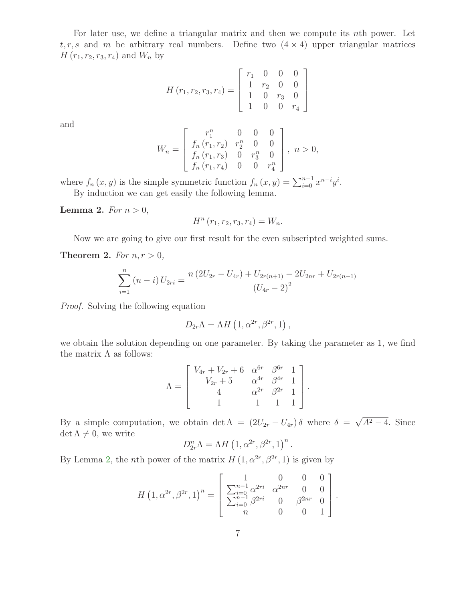For later use, we define a triangular matrix and then we compute its nth power. Let  $t, r, s$  and m be arbitrary real numbers. Define two  $(4 \times 4)$  upper triangular matrices  $H(r_1, r_2, r_3, r_4)$  and  $W_n$  by

$$
H(r_1, r_2, r_3, r_4) = \begin{bmatrix} r_1 & 0 & 0 & 0 \\ 1 & r_2 & 0 & 0 \\ 1 & 0 & r_3 & 0 \\ 1 & 0 & 0 & r_4 \end{bmatrix}
$$

and

$$
W_n = \begin{bmatrix} r_1^n & 0 & 0 & 0 \\ f_n (r_1, r_2) & r_2^n & 0 & 0 \\ f_n (r_1, r_3) & 0 & r_3^n & 0 \\ f_n (r_1, r_4) & 0 & 0 & r_4^n \end{bmatrix}, n > 0,
$$

<span id="page-6-0"></span>where  $f_n(x, y)$  is the simple symmetric function  $f_n(x, y) = \sum_{i=0}^{n-1} x^{n-i} y^i$ . By induction we can get easily the following lemma.

Lemma 2. For  $n > 0$ ,

$$
H^{n}(r_{1}, r_{2}, r_{3}, r_{4}) = W_{n}.
$$

Now we are going to give our first result for the even subscripted weighted sums.

Theorem 2. For  $n, r > 0$ ,

$$
\sum_{i=1}^{n} (n-i) U_{2ri} = \frac{n (2U_{2r} - U_{4r}) + U_{2r(n+1)} - 2U_{2nr} + U_{2r(n-1)}}{(U_{4r} - 2)^2}
$$

Proof. Solving the following equation

$$
D_{2r}\Lambda = \Lambda H\left(1, \alpha^{2r}, \beta^{2r}, 1\right),
$$

we obtain the solution depending on one parameter. By taking the parameter as 1, we find the matrix  $\Lambda$  as follows:

$$
\Lambda = \begin{bmatrix} V_{4r} + V_{2r} + 6 & \alpha^{6r} & \beta^{6r} & 1 \\ V_{2r} + 5 & \alpha^{4r} & \beta^{4r} & 1 \\ 4 & \alpha^{2r} & \beta^{2r} & 1 \\ 1 & 1 & 1 & 1 \end{bmatrix}.
$$

By a simple computation, we obtain det  $\Lambda = (2U_{2r} - U_{4r})\delta$  where  $\delta = \sqrt{A^2 - 4}$ . Since  $\det \Lambda \neq 0$ , we write

$$
D_{2r}^n \Lambda = \Lambda H \left( 1, \alpha^{2r}, \beta^{2r}, 1 \right)^n.
$$

By Lemma [2,](#page-6-0) the *n*th power of the matrix  $H(1, \alpha^{2r}, \beta^{2r}, 1)$  is given by

$$
H\left(1, \alpha^{2r}, \beta^{2r}, 1\right)^n = \begin{bmatrix} 1 & 0 & 0 & 0 \\ \sum_{i=0}^{n-1} \alpha^{2ri} & \alpha^{2nr} & 0 & 0 \\ \sum_{i=0}^{n-1} \beta^{2ri} & 0 & \beta^{2nr} & 0 \\ n & 0 & 0 & 1 \end{bmatrix}.
$$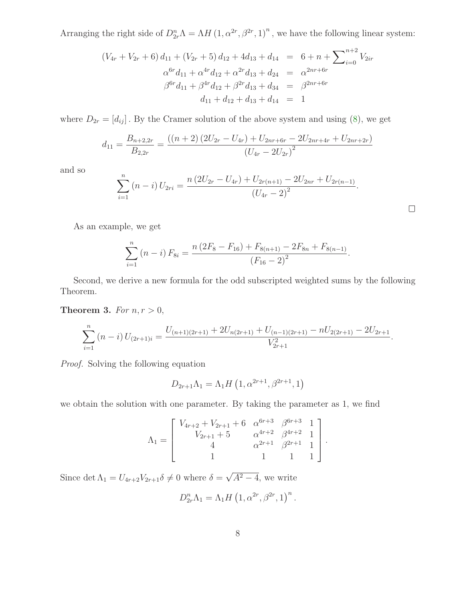Arranging the right side of  $D_{2r}^n \Lambda = \Lambda H (1, \alpha^{2r}, \beta^{2r}, 1)^n$ , we have the following linear system:

$$
(V_{4r} + V_{2r} + 6) d_{11} + (V_{2r} + 5) d_{12} + 4d_{13} + d_{14} = 6 + n + \sum_{i=0}^{n+2} V_{2ir}
$$
  
\n
$$
\alpha^{6r} d_{11} + \alpha^{4r} d_{12} + \alpha^{2r} d_{13} + d_{24} = \alpha^{2nr + 6r}
$$
  
\n
$$
\beta^{6r} d_{11} + \beta^{4r} d_{12} + \beta^{2r} d_{13} + d_{34} = \beta^{2nr + 6r}
$$
  
\n
$$
d_{11} + d_{12} + d_{13} + d_{14} = 1
$$

where  $D_{2r} = [d_{ij}]$ . By the Cramer solution of the above system and using [\(8\)](#page-4-4), we get

$$
d_{11} = \frac{B_{n+2,2r}}{B_{2,2r}} = \frac{((n+2)\left(2U_{2r} - U_{4r}\right) + U_{2nr+6r} - 2U_{2nr+4r} + U_{2nr+2r})}{\left(U_{4r} - 2U_{2r}\right)^2}
$$

and so

$$
\sum_{i=1}^{n} (n-i) U_{2ri} = \frac{n (2U_{2r} - U_{4r}) + U_{2r(n+1)} - 2U_{2nr} + U_{2r(n-1)}}{(U_{4r} - 2)^2}.
$$

.

 $\Box$ 

As an example, we get

$$
\sum_{i=1}^{n} (n-i) F_{8i} = \frac{n (2F_8 - F_{16}) + F_{8(n+1)} - 2F_{8n} + F_{8(n-1)}}{(F_{16} - 2)^2}
$$

Second, we derive a new formula for the odd subscripted weighted sums by the following Theorem.

Theorem 3. For  $n, r > 0$ ,

$$
\sum_{i=1}^{n} (n-i) U_{(2r+1)i} = \frac{U_{(n+1)(2r+1)} + 2U_{n(2r+1)} + U_{(n-1)(2r+1)} - nU_{2(2r+1)} - 2U_{2r+1}}{V_{2r+1}^2}.
$$

Proof. Solving the following equation

$$
D_{2r+1}\Lambda_1 = \Lambda_1 H\left(1, \alpha^{2r+1}, \beta^{2r+1}, 1\right)
$$

we obtain the solution with one parameter. By taking the parameter as 1, we find

$$
\Lambda_1 = \begin{bmatrix} V_{4r+2} + V_{2r+1} + 6 & \alpha^{6r+3} & \beta^{6r+3} & 1 \\ V_{2r+1} + 5 & \alpha^{4r+2} & \beta^{4r+2} & 1 \\ 4 & \alpha^{2r+1} & \beta^{2r+1} & 1 \\ 1 & 1 & 1 & 1 \end{bmatrix}.
$$

Since det  $\Lambda_1 = U_{4r+2}V_{2r+1}\delta \neq 0$  where  $\delta = \sqrt{A^2 - 4}$ , we write

$$
D_{2r}^n \Lambda_1 = \Lambda_1 H \left( 1, \alpha^{2r}, \beta^{2r}, 1 \right)^n.
$$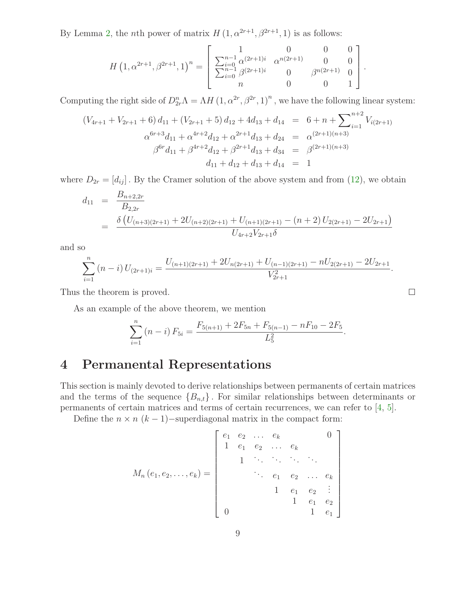By Lemma [2,](#page-6-0) the *n*th power of matrix  $H(1, \alpha^{2r+1}, \beta^{2r+1}, 1)$  is as follows:

$$
H\left(1, \alpha^{2r+1}, \beta^{2r+1}, 1\right)^n = \begin{bmatrix} 1 & 0 & 0 & 0 \\ \sum_{i=0}^{n-1} \alpha^{(2r+1)i} & \alpha^{n(2r+1)} & 0 & 0 \\ \sum_{i=0}^{n-1} \beta^{(2r+1)i} & 0 & \beta^{n(2r+1)} & 0 \\ n & 0 & 0 & 1 \end{bmatrix}.
$$

Computing the right side of  $D_{2r}^n \Lambda = \Lambda H (1, \alpha^{2r}, \beta^{2r}, 1)^n$ , we have the following linear system:

$$
(V_{4r+1} + V_{2r+1} + 6) d_{11} + (V_{2r+1} + 5) d_{12} + 4d_{13} + d_{14} = 6 + n + \sum_{i=1}^{n+2} V_{i(2r+1)}
$$
  

$$
\alpha^{6r+3} d_{11} + \alpha^{4r+2} d_{12} + \alpha^{2r+1} d_{13} + d_{24} = \alpha^{(2r+1)(n+3)}
$$
  

$$
\beta^{6r} d_{11} + \beta^{4r+2} d_{12} + \beta^{2r+1} d_{13} + d_{34} = \beta^{(2r+1)(n+3)}
$$
  

$$
d_{11} + d_{12} + d_{13} + d_{14} = 1
$$

where  $D_{2r} = [d_{ij}]$ . By the Cramer solution of the above system and from [\(12\)](#page-5-1), we obtain

$$
d_{11} = \frac{B_{n+2,2r}}{B_{2,2r}}
$$
  
= 
$$
\frac{\delta \left( U_{(n+3)(2r+1)} + 2U_{(n+2)(2r+1)} + U_{(n+1)(2r+1)} - (n+2)U_{2(2r+1)} - 2U_{2r+1} \right)}{U_{4r+2}V_{2r+1}\delta}
$$

and so

$$
\sum_{i=1}^{n} (n-i) U_{(2r+1)i} = \frac{U_{(n+1)(2r+1)} + 2U_{n(2r+1)} + U_{(n-1)(2r+1)} - nU_{2(2r+1)} - 2U_{2r+1}}{V_{2r+1}^2}.
$$

 $\Box$ 

Thus the theorem is proved.

As an example of the above theorem, we mention

$$
\sum_{i=1}^{n} (n-i) F_{5i} = \frac{F_{5(n+1)} + 2F_{5n} + F_{5(n-1)} - nF_{10} - 2F_{5}}{L_{5}^{2}}.
$$

# 4 Permanental Representations

This section is mainly devoted to derive relationships between permanents of certain matrices and the terms of the sequence  ${B_{n,t}}$ . For similar relationships between determinants or permanents of certain matrices and terms of certain recurrences, we can refer to [\[4,](#page-10-0) [5\]](#page-10-1).

Define the  $n \times n$  ( $k-1$ )–superdiagonal matrix in the compact form:

$$
M_n(e_1, e_2, \ldots, e_k) = \begin{bmatrix} e_1 & e_2 & \ldots & e_k & & 0 \\ 1 & e_1 & e_2 & \ldots & e_k & & \\ & \ddots & \ddots & \ddots & \ddots & \ddots \\ & & \ddots & e_1 & e_2 & \ldots & e_k \\ & & & 1 & e_1 & e_2 & \vdots \\ & & & & 1 & e_1 & e_2 \\ 0 & & & & & 1 & e_1 \end{bmatrix}
$$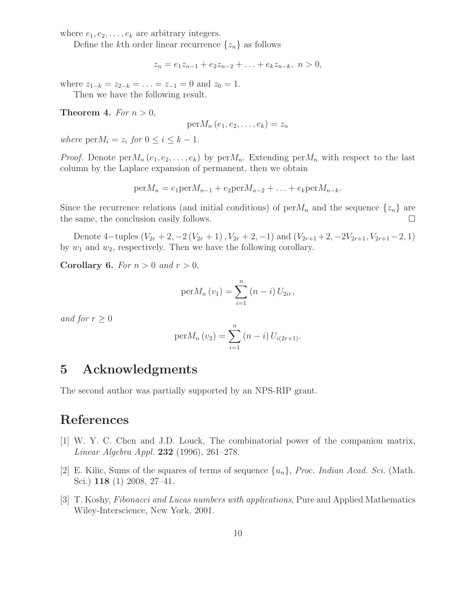where  $e_1, e_2, \ldots, e_k$  are arbitrary integers.

Define the kth order linear recurrence  $\{z_n\}$  as follows

$$
z_n = e_1 z_{n-1} + e_2 z_{n-2} + \ldots + e_k z_{n-k}, \ n > 0,
$$

where  $z_{1-k} = z_{2-k} = \ldots = z_{-1} = 0$  and  $z_0 = 1$ .

Then we have the following result.

Theorem 4. For  $n > 0$ ,

$$
\mathrm{per}M_n\left(e_1,e_2,\ldots,e_k\right)=z_n
$$

where  $\text{per}M_i = z_i$  for  $0 \leq i \leq k - 1$ .

*Proof.* Denote  $\text{per}M_n(e_1, e_2, \ldots, e_k)$  by  $\text{per}M_n$ . Extending  $\text{per}M_n$  with respect to the last column by the Laplace expansion of permanent, then we obtain

$$
per M_n = e_1 per M_{n-1} + e_2 per M_{n-2} + \ldots + e_k per M_{n-k}.
$$

Since the recurrence relations (and initial conditions) of  $perM_n$  and the sequence  $\{z_n\}$  are the same, the conclusion easily follows.

Denote 4-tuples  $(V_{2r} + 2, -2(V_{2r} + 1), V_{2r} + 2, -1)$  and  $(V_{2r+1} + 2, -2V_{2r+1}, V_{2r+1} - 2, 1)$ by  $w_1$  and  $w_2$ , respectively. Then we have the following corollary.

Corollary 6. For  $n > 0$  and  $r > 0$ ,

$$
per M_n(v_1) = \sum_{i=1}^n (n-i) U_{2ir},
$$

and for  $r \geq 0$ 

$$
per M_n(v_2) = \sum_{i=1}^n (n-i) U_{i(2r+1)}.
$$

### 5 Acknowledgments

The second author was partially supported by an NPS-RIP grant.

## <span id="page-9-2"></span>References

- [1] W. Y. C. Chen and J.D. Louck, The combinatorial power of the companion matrix, Linear Algebra Appl. 232 (1996), 261–278.
- <span id="page-9-0"></span>[2] E. Kilic, Sums of the squares of terms of sequence  $\{u_n\}$ , *Proc. Indian Acad. Sci.* (Math. Sci.) 118 (1) 2008, 27–41.
- <span id="page-9-1"></span>[3] T. Koshy, Fibonacci and Lucas numbers with applications, Pure and Applied Mathematics Wiley-Interscience, New York, 2001.